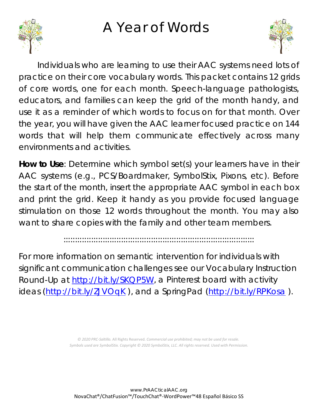## A Year of Words





Individuals who are learning to use their AAC systems need lots of practice on their core vocabulary words. This packet contains 12 grids of core words, one for each month. Speech-language pathologists, educators, and families can keep the grid of the month handy, and use it as a reminder of which words to focus on for that month. Over the year, you will have given the AAC learner focused practice on 144 words that will help them communicate effectively across many environments and activities.

**How to Use**: Determine which symbol set(s) your learners have in their AAC systems (e.g., PCS/Boardmaker, SymbolStix, Pixons, etc). Before the start of the month, insert the appropriate AAC symbol in each box and print the grid. Keep it handy as you provide focused language stimulation on those 12 words throughout the month. You may also want to share copies with the family and other team members.

:::::::::::::::::::::::::::::::::::::::::::::::::::::::::::::::::::::::::::::::::::

For more information on semantic intervention for individuals with significant communication challenges see our Vocabulary Instruction Round-Up at [http://bit.ly/SKQP5W,](http://bit.ly/SKQP5W) a Pinterest board with activity ideas [\(http://bit.ly/ZJVOqK](http://bit.ly/ZJVOqK)), and a SpringPad [\(http://bit.ly/RPKosa](http://bit.ly/RPKosa)).

> *© 2020 PRC-Saltillo.* All Rights Reserved. *Commercial use prohibited; may not be used for resale. Symbols used are SymbolStix. Copyright © 2020 SymbolStix, LLC. All rights reserved. Used with Permission.*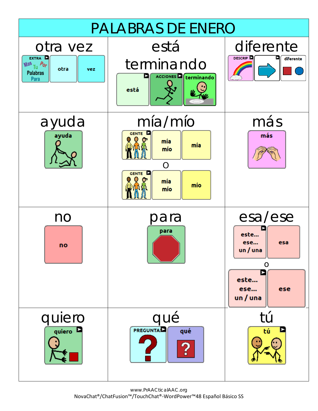

www.PrAACticalAAC.org NovaChat®/ChatFusion™/TouchChat®-WordPower™48 Español Básico SS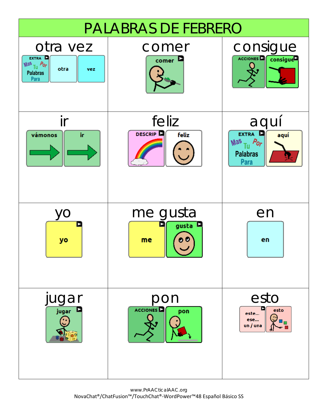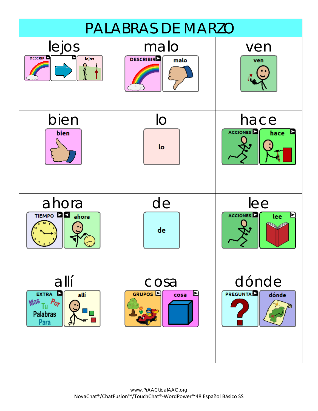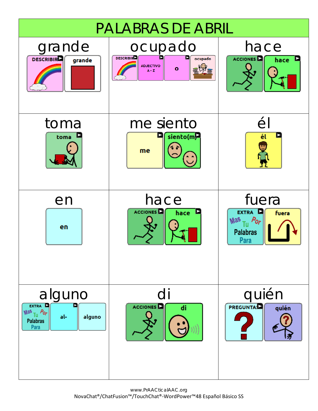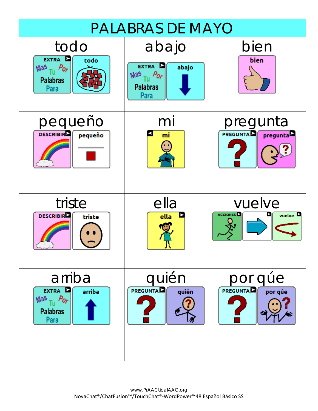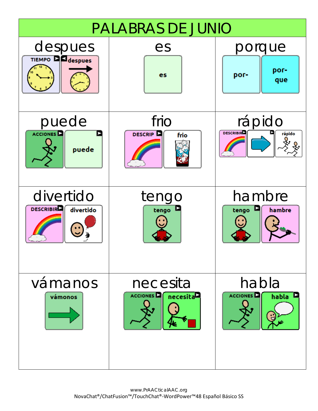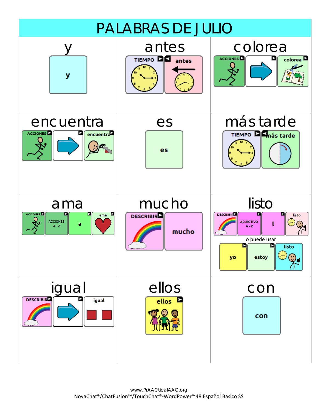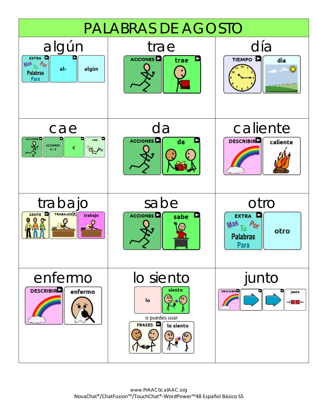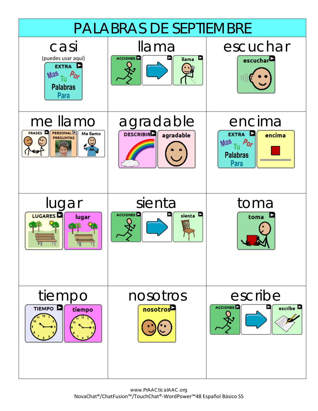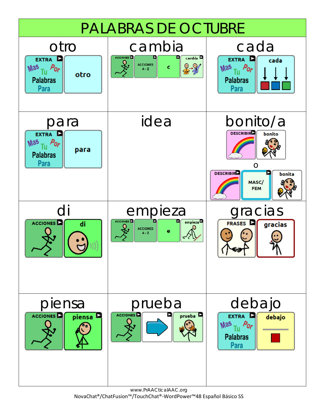

www.PrAACticalAAC.org NovaChat®/ChatFusion™/TouchChat®-WordPower™48 Español Básico SS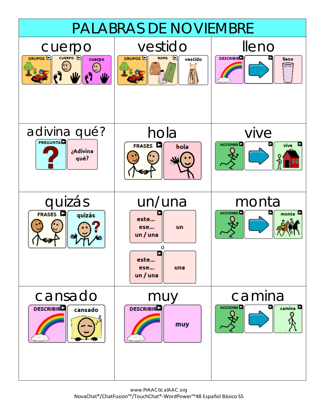